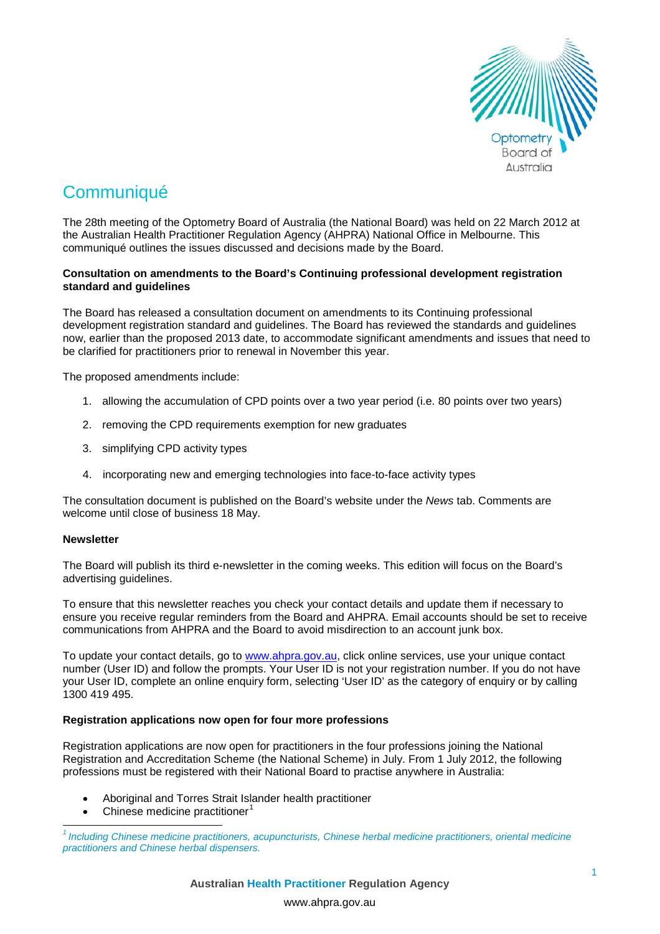

# **Communiqué**

The 28th meeting of the Optometry Board of Australia (the National Board) was held on 22 March 2012 at the Australian Health Practitioner Regulation Agency (AHPRA) National Office in Melbourne. This communiqué outlines the issues discussed and decisions made by the Board.

#### **Consultation on amendments to the Board's Continuing professional development registration standard and guidelines**

The Board has released a consultation document on amendments to its Continuing professional development registration standard and guidelines. The Board has reviewed the standards and guidelines now, earlier than the proposed 2013 date, to accommodate significant amendments and issues that need to be clarified for practitioners prior to renewal in November this year.

The proposed amendments include:

- 1. allowing the accumulation of CPD points over a two year period (i.e. 80 points over two years)
- 2. removing the CPD requirements exemption for new graduates
- 3. simplifying CPD activity types
- 4. incorporating new and emerging technologies into face-to-face activity types

The consultation document is published on the Board's website under the *News* tab. Comments are welcome until close of business 18 May.

## **Newsletter**

The Board will publish its third e-newsletter in the coming weeks. This edition will focus on the Board's advertising guidelines.

To ensure that this newsletter reaches you check your contact details and update them if necessary to ensure you receive regular reminders from the Board and AHPRA. Email accounts should be set to receive communications from AHPRA and the Board to avoid misdirection to an account junk box.

To update your contact details, go to [www.ahpra.gov.au,](http://www.ahpra.gov.au/) click online services, use your unique contact number (User ID) and follow the prompts. Your User ID is not your registration number. If you do not have your User ID, complete an online enquiry form, selecting 'User ID' as the category of enquiry or by calling 1300 419 495.

## **Registration applications now open for four more professions**

Registration applications are now open for practitioners in the four professions joining the National Registration and Accreditation Scheme (the National Scheme) in July. From 1 July 2012, the following professions must be registered with their National Board to practise anywhere in Australia:

- Aboriginal and Torres Strait Islander health practitioner
- Chinese medicine practitioner<sup>[1](#page-0-0)</sup>

<span id="page-0-0"></span>*<sup>1</sup> Including Chinese medicine practitioners, acupuncturists, Chinese herbal medicine practitioners, oriental medicine practitioners and Chinese herbal dispensers.*